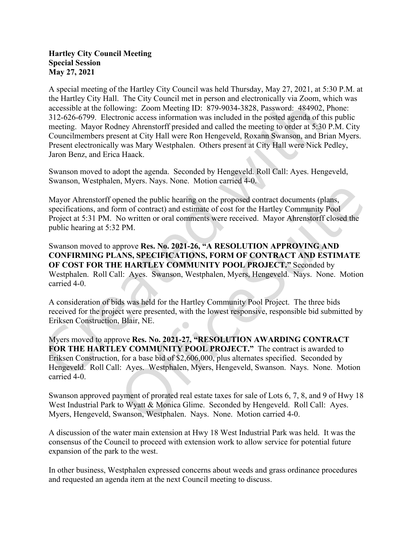## Hartley City Council Meeting Special Session May 27, 2021

A special meeting of the Hartley City Council was held Thursday, May 27, 2021, at 5:30 P.M. at the Hartley City Hall. The City Council met in person and electronically via Zoom, which was accessible at the following: Zoom Meeting ID: 879-9034-3828, Password: 484902, Phone: 312-626-6799. Electronic access information was included in the posted agenda of this public meeting. Mayor Rodney Ahrenstorff presided and called the meeting to order at 5:30 P.M. City Councilmembers present at City Hall were Ron Hengeveld, Roxann Swanson, and Brian Myers. Present electronically was Mary Westphalen. Others present at City Hall were Nick Pedley, Jaron Benz, and Erica Haack.

Swanson moved to adopt the agenda. Seconded by Hengeveld. Roll Call: Ayes. Hengeveld, Swanson, Westphalen, Myers. Nays. None. Motion carried 4-0.

Mayor Ahrenstorff opened the public hearing on the proposed contract documents (plans, specifications, and form of contract) and estimate of cost for the Hartley Community Pool Project at 5:31 PM. No written or oral comments were received. Mayor Ahrenstorff closed the public hearing at 5:32 PM.

Swanson moved to approve Res. No. 2021-26, "A RESOLUTION APPROVING AND CONFIRMING PLANS, SPECIFICATIONS, FORM OF CONTRACT AND ESTIMATE OF COST FOR THE HARTLEY COMMUNITY POOL PROJECT." Seconded by Westphalen. Roll Call: Ayes. Swanson, Westphalen, Myers, Hengeveld. Nays. None. Motion carried 4-0.

A consideration of bids was held for the Hartley Community Pool Project. The three bids received for the project were presented, with the lowest responsive, responsible bid submitted by Eriksen Construction, Blair, NE.

Myers moved to approve Res. No. 2021-27, "RESOLUTION AWARDING CONTRACT FOR THE HARTLEY COMMUNITY POOL PROJECT." The contract is awarded to Eriksen Construction, for a base bid of \$2,606,000, plus alternates specified. Seconded by Hengeveld. Roll Call: Ayes. Westphalen, Myers, Hengeveld, Swanson. Nays. None. Motion carried 4-0.

Swanson approved payment of prorated real estate taxes for sale of Lots 6, 7, 8, and 9 of Hwy 18 West Industrial Park to Wyatt & Monica Glime. Seconded by Hengeveld. Roll Call: Ayes. Myers, Hengeveld, Swanson, Westphalen. Nays. None. Motion carried 4-0.

A discussion of the water main extension at Hwy 18 West Industrial Park was held. It was the consensus of the Council to proceed with extension work to allow service for potential future expansion of the park to the west.

In other business, Westphalen expressed concerns about weeds and grass ordinance procedures and requested an agenda item at the next Council meeting to discuss.